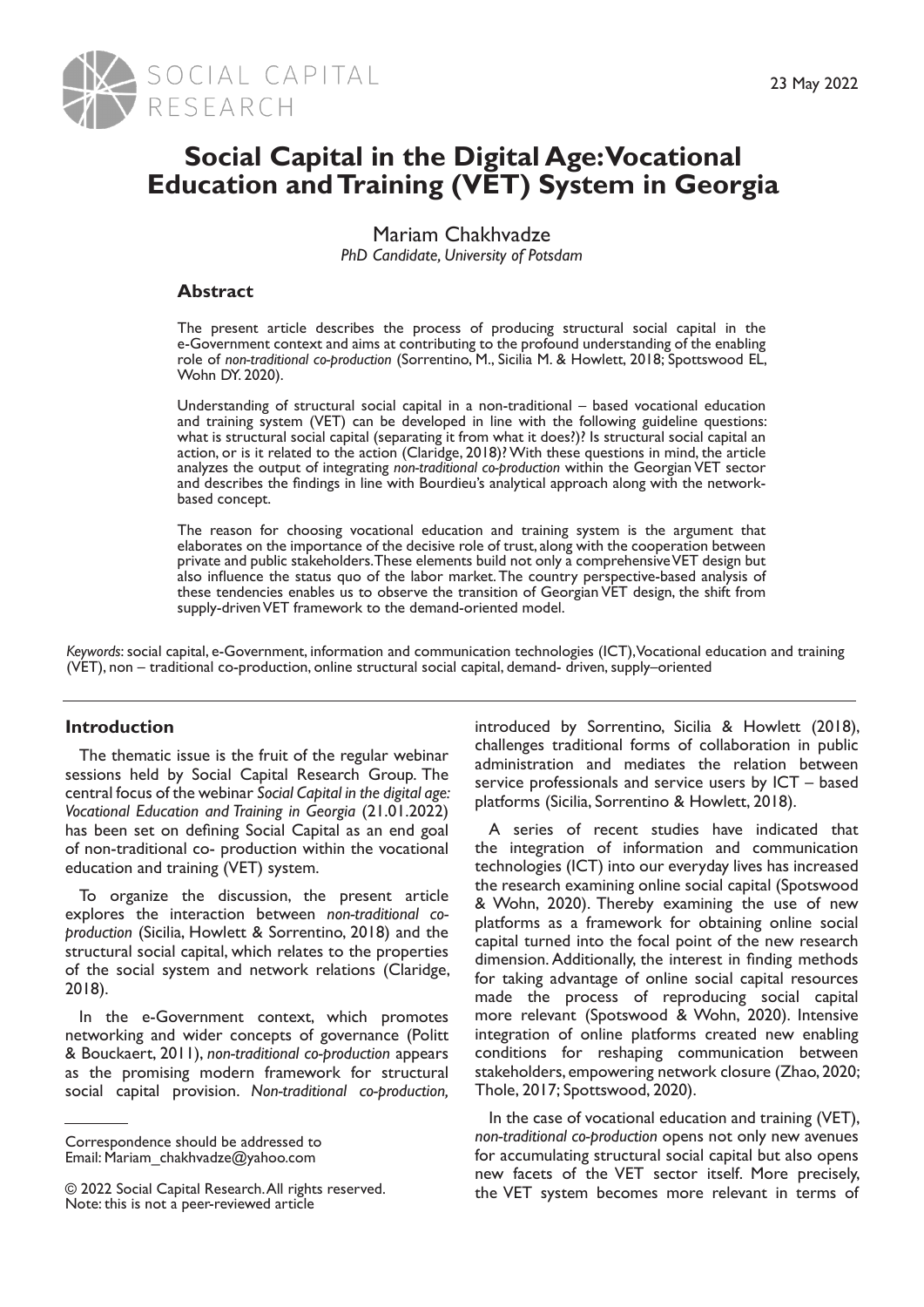

# **Social Capital in the Digital Age: Vocational Education and Training (VET) System in Georgia**

Mariam Chakhvadze *PhD Candidate, University of Potsdam*

# **Abstract**

The present article describes the process of producing structural social capital in the e-Government context and aims at contributing to the profound understanding of the enabling role of *non-traditional co-production* (Sorrentino, M., Sicilia M. & Howlett, 2018; Spottswood EL, Wohn DY. 2020).

Understanding of structural social capital in a non-traditional – based vocational education and training system (VET) can be developed in line with the following guideline questions: what is structural social capital (separating it from what it does?)? Is structural social capital an action, or is it related to the action (Claridge, 2018)? With these questions in mind, the article analyzes the output of integrating *non-traditional co-production* within the Georgian VET sector and describes the findings in line with Bourdieu's analytical approach along with the networkbased concept.

The reason for choosing vocational education and training system is the argument that elaborates on the importance of the decisive role of trust, along with the cooperation between private and public stakeholders. These elements build not only a comprehensive VET design but also influence the status quo of the labor market. The country perspective-based analysis of these tendencies enables us to observe the transition of Georgian VET design, the shift from supply-driven VET framework to the demand-oriented model.

*Keywords*: social capital, e-Government, information and communication technologies (ICT), Vocational education and training (VET), non – traditional co-production, online structural social capital, demand- driven, supply–oriented

# **Introduction**

The thematic issue is the fruit of the regular webinar sessions held by Social Capital Research Group. The central focus of the webinar *Social Capital in the digital age: Vocational Education and Training in Georgia* (21.01.2022) has been set on defining Social Capital as an end goal of non-traditional co- production within the vocational education and training (VET) system.

To organize the discussion, the present article explores the interaction between *non-traditional coproduction* (Sicilia, Howlett & Sorrentino, 2018) and the structural social capital, which relates to the properties of the social system and network relations (Claridge, 2018).

In the e-Government context, which promotes networking and wider concepts of governance (Politt & Bouckaert, 2011), *non-traditional co-production* appears as the promising modern framework for structural social capital provision. *Non-traditional co-production,*

introduced by Sorrentino, Sicilia & Howlett (2018), challenges traditional forms of collaboration in public administration and mediates the relation between service professionals and service users by ICT – based platforms (Sicilia, Sorrentino & Howlett, 2018).

A series of recent studies have indicated that the integration of information and communication technologies (ICT) into our everyday lives has increased the research examining online social capital (Spotswood & Wohn, 2020). Thereby examining the use of new platforms as a framework for obtaining online social capital turned into the focal point of the new research dimension. Additionally, the interest in finding methods for taking advantage of online social capital resources made the process of reproducing social capital more relevant (Spotswood & Wohn, 2020). Intensive integration of online platforms created new enabling conditions for reshaping communication between stakeholders, empowering network closure (Zhao, 2020; Thole, 2017; Spottswood, 2020).

In the case of vocational education and training (VET), *non-traditional co-production* opens not only new avenues for accumulating structural social capital but also opens new facets of the VET sector itself. More precisely, the VET system becomes more relevant in terms of

Correspondence should be addressed to Email: Mariam\_chakhvadze@yahoo.com

<sup>© 2022</sup> Social Capital Research. All rights reserved. Note: this is not a peer-reviewed article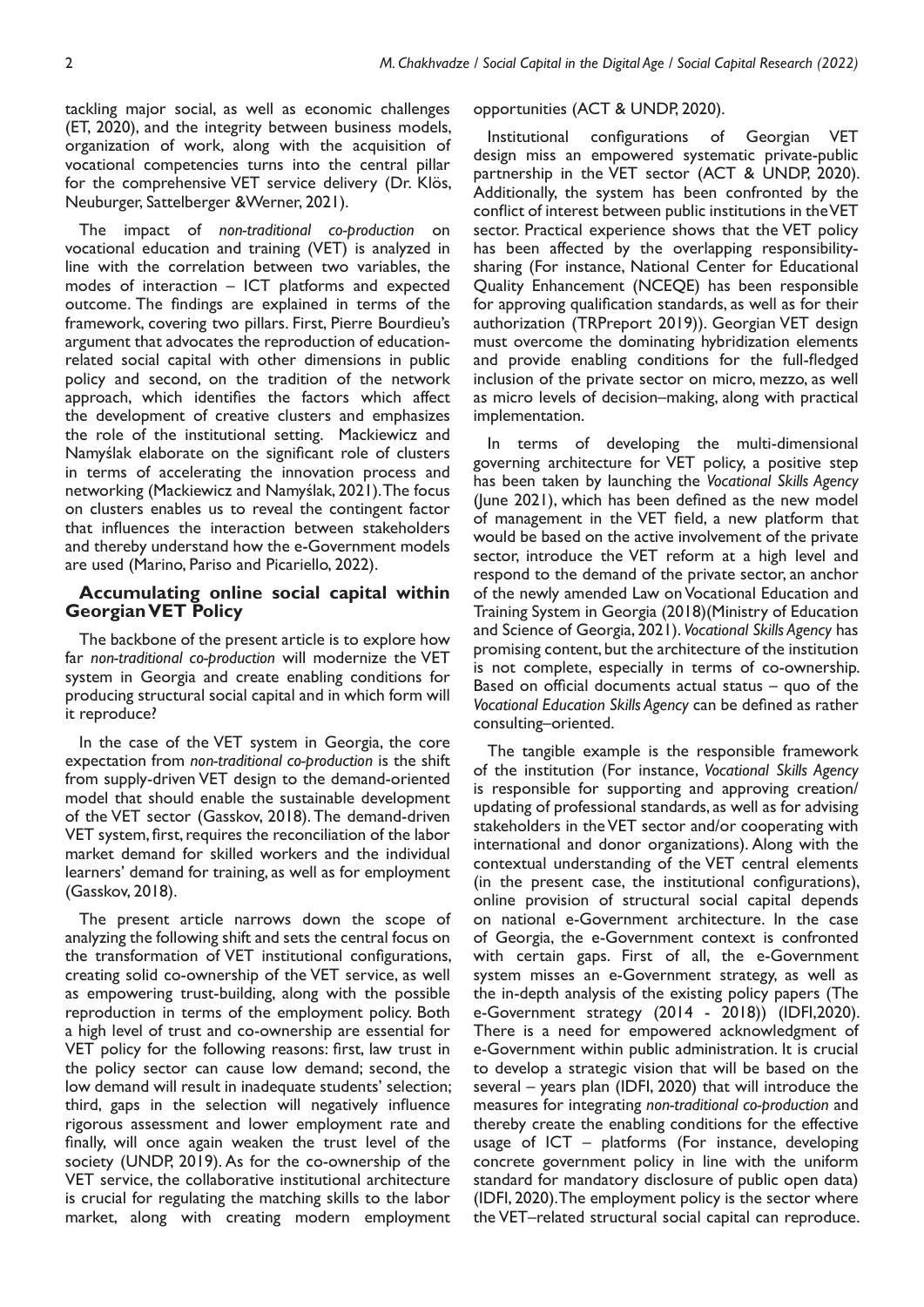tackling major social, as well as economic challenges (ET, 2020), and the integrity between business models, organization of work, along with the acquisition of vocational competencies turns into the central pillar for the comprehensive VET service delivery (Dr. Klös, Neuburger, Sattelberger &Werner, 2021).

The impact of *non-traditional co-production* on vocational education and training (VET) is analyzed in line with the correlation between two variables, the modes of interaction – ICT platforms and expected outcome. The findings are explained in terms of the framework, covering two pillars. First, Pierre Bourdieu's argument that advocates the reproduction of educationrelated social capital with other dimensions in public policy and second, on the tradition of the network approach, which identifies the factors which affect the development of creative clusters and emphasizes the role of the institutional setting. Mackiewicz and Namyślak elaborate on the significant role of clusters in terms of accelerating the innovation process and networking (Mackiewicz and Namyślak, 2021). The focus on clusters enables us to reveal the contingent factor that influences the interaction between stakeholders and thereby understand how the e-Government models are used (Marino, Pariso and Picariello, 2022).

#### **Accumulating online social capital within Georgian VET Policy**

The backbone of the present article is to explore how far *non-traditional co-production* will modernize the VET system in Georgia and create enabling conditions for producing structural social capital and in which form will it reproduce?

In the case of the VET system in Georgia, the core expectation from *non-traditional co-production* is the shift from supply-driven VET design to the demand-oriented model that should enable the sustainable development of the VET sector (Gasskov, 2018). The demand-driven VET system, first, requires the reconciliation of the labor market demand for skilled workers and the individual learners' demand for training, as well as for employment (Gasskov, 2018).

The present article narrows down the scope of analyzing the following shift and sets the central focus on the transformation of VET institutional configurations, creating solid co-ownership of the VET service, as well as empowering trust-building, along with the possible reproduction in terms of the employment policy. Both a high level of trust and co-ownership are essential for VET policy for the following reasons: first, law trust in the policy sector can cause low demand; second, the low demand will result in inadequate students' selection; third, gaps in the selection will negatively influence rigorous assessment and lower employment rate and finally, will once again weaken the trust level of the society (UNDP, 2019). As for the co-ownership of the VET service, the collaborative institutional architecture is crucial for regulating the matching skills to the labor market, along with creating modern employment

#### opportunities (ACT & UNDP, 2020).

Institutional configurations of Georgian VET design miss an empowered systematic private-public partnership in the VET sector (ACT & UNDP, 2020). Additionally, the system has been confronted by the conflict of interest between public institutions in the VET sector. Practical experience shows that the VET policy has been affected by the overlapping responsibilitysharing (For instance, National Center for Educational Quality Enhancement (NCEQE) has been responsible for approving qualification standards, as well as for their authorization (TRPreport 2019)). Georgian VET design must overcome the dominating hybridization elements and provide enabling conditions for the full-fledged inclusion of the private sector on micro, mezzo, as well as micro levels of decision–making, along with practical implementation.

In terms of developing the multi-dimensional governing architecture for VET policy, a positive step has been taken by launching the *Vocational Skills Agency* (June 2021), which has been defined as the new model of management in the VET field, a new platform that would be based on the active involvement of the private sector, introduce the VET reform at a high level and respond to the demand of the private sector, an anchor of the newly amended Law on Vocational Education and Training System in Georgia (2018)(Ministry of Education and Science of Georgia, 2021). *Vocational Skills Agency* has promising content, but the architecture of the institution is not complete, especially in terms of co-ownership. Based on official documents actual status – quo of the *Vocational Education Skills Agency* can be defined as rather consulting–oriented.

The tangible example is the responsible framework of the institution (For instance, *Vocational Skills Agency*  is responsible for supporting and approving creation/ updating of professional standards, as well as for advising stakeholders in the VET sector and/or cooperating with international and donor organizations). Along with the contextual understanding of the VET central elements (in the present case, the institutional configurations), online provision of structural social capital depends on national e-Government architecture. In the case of Georgia, the e-Government context is confronted with certain gaps. First of all, the e-Government system misses an e-Government strategy, as well as the in-depth analysis of the existing policy papers (The e-Government strategy (2014 - 2018)) (IDFI,2020). There is a need for empowered acknowledgment of e-Government within public administration. It is crucial to develop a strategic vision that will be based on the several – years plan (IDFI, 2020) that will introduce the measures for integrating *non-traditional co-production* and thereby create the enabling conditions for the effective usage of ICT – platforms (For instance, developing concrete government policy in line with the uniform standard for mandatory disclosure of public open data) (IDFI, 2020). The employment policy is the sector where the VET–related structural social capital can reproduce.